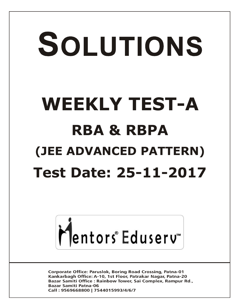# SOLUTIONS **WEEKLY TEST-A RBA & RBPA (JEE ADVANCED PATTERN) Test Date: 25-11-2017**



**Corporate Office: Paruslok, Boring Road Crossing, Patna-01** Kankarbagh Office: A-10, 1st Floor, Patrakar Nagar, Patna-20 Bazar Samiti Office: Rainbow Tower, Sai Complex, Rampur Rd., **Bazar Samiti Patna-06** Call: 9569668800 | 7544015993/4/6/7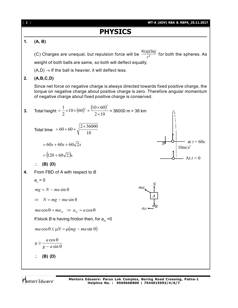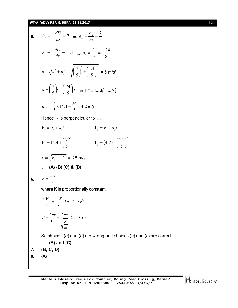# **WT-A (ADV) RBA & RBPA\_25.11.2017** [ **3** ]

5. 
$$
F_x = -\frac{dU}{dx} = 7 \implies a_x = \frac{F_x}{m} = \frac{7}{5}
$$
  
\n $F_y = -\frac{dU}{dx} = -24 \implies a_y = \frac{F_y}{m} = \frac{-24}{5}$   
\n $a = \sqrt{a_x^2 + a_y^2} = \sqrt{\left(\frac{7}{5}\right)^2 + \left(\frac{24}{5}\right)^2} = 5 \text{ m/s}^2$   
\n $\vec{a} = \left(\frac{7}{5}\right)\hat{i} - \left(\frac{24}{5}\right)\hat{j} \text{ and } \vec{v} = 14.4\hat{i} + 4.2\hat{j}$   
\n $\vec{a} \cdot \vec{v} = \frac{7}{5} \times 14.4 - \frac{24}{5} \times 4.2 = 0$   
\nHence  $\vec{a}$  is perpendicular to  $\vec{v}$ .  
\n $V_x = u_x + a_x t$   $V_y = v_y + a_x t$   
\n $V_x = 14.4 + \left(\frac{7}{5}\right)^4$   $V_y = (4.2) - \left(\frac{24}{5}\right)^4$   
\n $v = \sqrt{V_x^2 + V_y^2} = 25 \text{ m/s}$   
\n $\therefore$  (A) (B) (C) & (D)  
\n6.  $F = \frac{-K}{r}$   
\nwhere K is proportionally constant.  
\n $\frac{mV^2}{r} = \frac{-K}{r} i.e., V \alpha r^0$   
\n $T = \frac{2\pi r}{V} = \frac{2\pi r}{\sqrt{\frac{K}{m}}} i.e., T\alpha r$   
\nSo choices (a) and (d) are wrong and choices (b) and (c) are correct.  
\n $\therefore$  (B) and (C)  
\n7. (B, C, D)  
\n8. (A)

 $\bigg\}^4$ 

J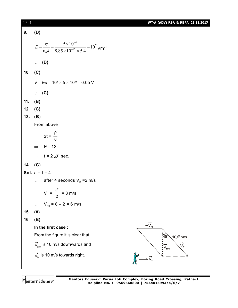| $[4]$   |                                                                                                                        | WT-A (ADV) RBA & RBPA_25.11.2017                                                 |
|---------|------------------------------------------------------------------------------------------------------------------------|----------------------------------------------------------------------------------|
| 9.      | (D)                                                                                                                    |                                                                                  |
|         | $E = \frac{\sigma}{\varepsilon_0 k} = \frac{5 \times 10^{-4}}{8.85 \times 10^{-12} \times 5.4} = 10^7 \text{ Vm}^{-1}$ |                                                                                  |
|         | $\therefore$ (D)                                                                                                       |                                                                                  |
| 10.     | (C)                                                                                                                    |                                                                                  |
|         | $V = Ed = 10^7 \times 5 \times 10^9 = 0.05$ V                                                                          |                                                                                  |
|         | $\therefore$ (C)                                                                                                       |                                                                                  |
| 11.     | (B)                                                                                                                    |                                                                                  |
| 12.     | (C)                                                                                                                    |                                                                                  |
| 13.     | (B)                                                                                                                    |                                                                                  |
|         | From above                                                                                                             |                                                                                  |
|         | 2t = $\frac{t^3}{6}$                                                                                                   |                                                                                  |
|         | $\implies$ t <sup>2</sup> = 12                                                                                         |                                                                                  |
|         | $\Rightarrow$ t = 2 $\sqrt{3}$ sec.                                                                                    |                                                                                  |
| 14. (C) |                                                                                                                        |                                                                                  |
|         | <b>Sol.</b> $a = t = 4$                                                                                                |                                                                                  |
|         | $\therefore$ after 4 seconds V <sub>B</sub> = 2 m/s                                                                    |                                                                                  |
|         | $V_p = \frac{4^2}{2} = 8$ m/s                                                                                          |                                                                                  |
|         | $\therefore$ V <sub>rel</sub> = 8 - 2 = 6 m/s.                                                                         |                                                                                  |
| 15.     | (A)                                                                                                                    |                                                                                  |
| 16.     | (B)                                                                                                                    |                                                                                  |
|         | In the first case:                                                                                                     | $-\vec{V}_{M}$                                                                   |
|         | From the figure it is clear that                                                                                       | 45<br>$10\sqrt{2}$ m/s                                                           |
|         | $\overrightarrow{V}_{\text{RM}}$ is 10 m/s downwards and                                                               | $\overrightarrow{\text{V}}_{\text{\tiny R}}$<br>$\overline{V}_{\text{\tiny RM}}$ |
|         | $\overrightarrow{V}_{M}$ is 10 m/s towards right.                                                                      |                                                                                  |
|         |                                                                                                                        |                                                                                  |

Mentors<sup>e</sup> Eduserv<sup>-</sup>

**Mentors Eduserv: Parus Lok Complex, Boring Road Crossing, Patna-1 Helpline No. : 9569668800 | 7544015993/4/6/7**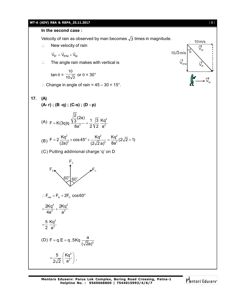## **WT-A (ADV) RBA & RBPA\_25.11.2017** [ **5** ]

### **In the second case :**

Velocity of rain as observed by man becomes  $\sqrt{3}$  times in magnitude.

 $\therefore$  New velocity of rain

$$
\vec{V}_{R'} = \vec{V}_{R'M} + \vec{V}_M
$$

 $\therefore$  The angle rain makes with vertical is

$$
\tan \theta = \frac{10}{10\sqrt{3}} \text{ or } \theta = 30^{\circ}
$$

: Change in angle of rain =  $45 - 30 = 15^{\circ}$ .

$$
17. (A)
$$

**(A- r) ; (B -q) ; (C-s) ; (D - p)**

(A) 
$$
F = K(3q)q \frac{\sqrt{\frac{2}{3}}(2a)}{8a^3} = \frac{1}{2} \sqrt{\frac{3}{2}} \frac{Kq^2}{a^2}
$$

(B) 
$$
F = 2 \frac{Kq^2}{(2a)^2} \times \cos 45^\circ + \frac{Kq^2}{(2\sqrt{2}a)^2} = \frac{Kq^2}{8a^2} (2\sqrt{2}+1)
$$

(C) Putting addinional charge 'q' on D

$$
F_{\rm c} \sim 60^{\circ} 60^{\circ}
$$

 $\therefore$  F<sub>net</sub> = F<sub>A</sub> + 2F<sub>c</sub> cos60<sup>o</sup>

$$
=\frac{2Kq^2}{4a^2}+\frac{2Kq^2}{a^2}
$$

$$
=\frac{5}{2}\frac{Kq^2}{a^2}
$$

(D) 
$$
F = q.E = q.5Kq \frac{a}{(\sqrt{2}a)^3}
$$
  

$$
= \frac{5}{2\sqrt{2}} \left(\frac{Kq^2}{a^2}\right).
$$

 $\mathsf{V}_{\mathsf{R}'}$ 

 $\overrightarrow{V}_{M}$ 

 $\rm V_w$ 

10m/s

 $\overline{V}_{\text{R}^{\prime} \text{N}}$ 

10 $\sqrt{3}$  m/s  $\theta$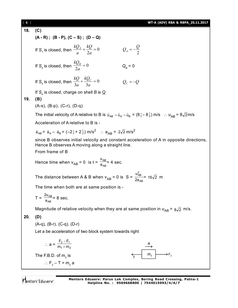| $\begin{bmatrix} 6 \end{bmatrix}$                       |                                                                                                                                                                 | WT-A (ADV) RBA & RBPA_25.11.2017 |
|---------------------------------------------------------|-----------------------------------------------------------------------------------------------------------------------------------------------------------------|----------------------------------|
| 18.                                                     | (C)                                                                                                                                                             |                                  |
|                                                         | $(A - R)$ ; $(B - P)$ , $(C - S)$ ; $(D - Q)$                                                                                                                   |                                  |
|                                                         | If S <sub>1</sub> is closed, then $\frac{kQ_A}{a} + \frac{kQ}{2a} = 0$                                                                                          | $Q_A=-\frac{Q}{2}$               |
|                                                         | If S <sub>2</sub> is closed, then $\frac{kQ_B}{2a} = 0$                                                                                                         | $Q_B = 0$                        |
|                                                         | If S <sub>3</sub> is closed, then $\frac{kQ}{3a} + \frac{kQ_C}{3a} = 0$                                                                                         | $Q_c = -Q$                       |
|                                                         | If $S4$ is closed, charge on shell B is $Q$                                                                                                                     |                                  |
| 19.                                                     | (B)                                                                                                                                                             |                                  |
|                                                         | $(A-s)$ , $(B-p)$ , $(C-r)$ , $(D-q)$                                                                                                                           |                                  |
|                                                         | The initial velocity of A relative to B is $\vec{u}_{AB} = \vec{u}_A - \vec{u}_B = (8\hat{i} - 8\hat{j})$ m/s $\therefore$ $u_{AR} = 8\sqrt{2}$ m/s             |                                  |
|                                                         | Acceleration of A relative to B is -                                                                                                                            |                                  |
|                                                         | $\vec{a}_{AB} = \vec{a}_A - \vec{a}_B = (-2\hat{i} + 2\hat{j})$ m/s <sup>2</sup> : $a_{AB} = 2\sqrt{2}$ m/s <sup>2</sup>                                        |                                  |
|                                                         | since B observes initial velocity and constant acceleration of A in opposite directions,<br>Hence B observes A moving along a straight line.<br>From frame of B |                                  |
|                                                         |                                                                                                                                                                 |                                  |
|                                                         | Hence time when $v_{AB} = 0$ is $t = \frac{u_{AB}}{a_{AB}} = 4$ sec.                                                                                            |                                  |
|                                                         | The distance between A & B when $v_{AB} = 0$ is S = $\frac{u_{AB}^2}{2a_{AB}} = 16\sqrt{2}$ m                                                                   |                                  |
|                                                         | The time when both are at same position is -                                                                                                                    |                                  |
|                                                         | $T = \frac{2u_{AB}}{a_{AB}} = 8$ sec.                                                                                                                           |                                  |
|                                                         | Magnitude of relative velocity when they are at same position in $u_{AB} = 8\sqrt{2}$ m/s.                                                                      |                                  |
| 20.                                                     | (D)                                                                                                                                                             |                                  |
|                                                         | $(A-q)$ , $(B-r)$ , $(C-q)$ , $(D-r)$                                                                                                                           |                                  |
| Let a be acceleration of two block system towards right |                                                                                                                                                                 |                                  |
|                                                         | ∴ a = $\frac{F_2 - F_1}{m_1 + m_2}$                                                                                                                             |                                  |
|                                                         | The F.B.D. of $m2$ is                                                                                                                                           | m <sub>2</sub>                   |
|                                                         | $\therefore$ F <sub>2</sub> – T = m <sub>2</sub> a                                                                                                              |                                  |
|                                                         |                                                                                                                                                                 |                                  |

Mentors<sup>e</sup> Eduserv<sup>-</sup>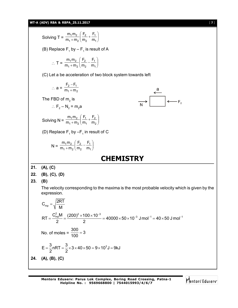#### **WT-A (ADV) RBA & RBPA\_25.11.2017** [ **7** ]

**24. (A), (B), (C)**

 $m_1$ m  $\frac{1}{1}m_2 + m_2 \left(\frac{F_2}{m_2} + \frac{F_1}{m_1}\right)$ F F  $\setminus$  $1$ <sup>111</sup>2 2 1 Solving T =  $\frac{m_1 m_2}{m_1 + m_2} \left( \frac{r_2}{m_2} + \frac{r_1}{m_1} \right)$  $\overline{\phantom{a}}$  $m_1 + m$ m m  $\overline{\phantom{0}}$  $\bigg)$  $1 + 112$ 2 (B) Replace  $\mathsf{F}_1$  by –  $\mathsf{F}_1$  is result of A  $m_1$ m  $\frac{1}{1}m_2 + m_2 = \frac{F_2}{m_2} - \frac{F_1}{m_1}$ F F  $\backslash$  $1''''2$ 2 1  $T = \frac{m_1 m_2}{m_1 + m_2} \left( \frac{12}{m_2} - \frac{11}{m_1} \right)$  $\overline{\phantom{a}}$  $m_1 + m$ m m  $\overline{\phantom{0}}$ J  $1 + 112$ 2 (C) Let a be acceleration of two block system towards left  $F_2 - F$ - $2 - 11$  $\therefore$  a =  $\frac{2}{m_1 + m_2}$  $m_1 + m$  $^{+}$  $\leftarrow$ <br> $\leftarrow$   $F_2$ The FBD of  $\mathsf{m}_2^{}$  is ∴  $F_2 - N_2 = m_2$ a  $\frac{1}{1}m_2 + m_2 \left(\frac{F_1}{m_1} + \frac{F_2}{m_2}\right)$  $\mathcal{L}$  $m_1$ m F F Solving N =  $\frac{m_1 m_2}{m_1 + m_2} \left( \frac{11}{m_1} + \frac{12}{m_2} \right)$ 1'''2  $\overline{\phantom{a}}$ 1 2  $m_1 + m$ m m  $\overline{\phantom{0}}$  $\bigg)$  $1 + 112$ 1 (D) Replace  $\mathsf{F}_{\mathsf{1}}$  by – $\mathsf{F}_{\mathsf{1}}$  in result of C  $m_1$ m  $\frac{1}{1}m_2 + m_2 = \left(\frac{F_2}{m_2} - \frac{F_1}{m_1}\right)$ F F  $\mathcal{L}$ 1'''2 2 1 N =  $\frac{m_1 m_2}{m_1 + m_2} \left( \frac{12}{m_2} - \frac{11}{m_1} \right)$  $\overline{\phantom{a}}$  $m_1 + m$ m m  $\overline{\phantom{0}}$ J  $1 + 112$ 2 **CHEMISTRY 21. (A), (C) 22. (B), (C), (D) 23. (B)** The velocity corresponding to the maxima is the most probable velocity which is given by the expression.  $C_{mp} = \sqrt{\frac{2RT}{M}}$  $=$ M  $RT = \frac{C_{mp}^2 M}{2} = \frac{(200)^2 \times 100 \times 10^{-3}}{2} = 40000 \times 50 \times 10^{-3}$  J mol<sup>-1</sup> = 40 × 50 J mol<sup>-1</sup>  $=\frac{C_{\text{mp}}^2 M}{2} = \frac{(200)^2 \times 100 \times 10^{-3}}{2} = 40000 \times 50 \times 10^{-3} \text{ J mol}^{-1} = 40 \times 50 \text{ J mol}^{-1}$ 2 2 No. of moles =  $\frac{300}{100} = 3$  $=$ 100  $E = \frac{3}{6} nRT = \frac{3}{6} \times 3 \times 40 \times 50 = 9 \times 10^{3} J = 9 kJ$  $=\frac{8}{6}$ nRT =  $\frac{8}{6}$  × 3 × 40 × 50 = 9 × 10<sup>3</sup> J = 9 2 2

**Mentors Eduserv: Parus Lok Complex, Boring Road Crossing, Patna-1 Helpline No. : 9569668800 | 7544015993/4/6/7**

Mentors<sup>®</sup> Eduserv<sup>®</sup>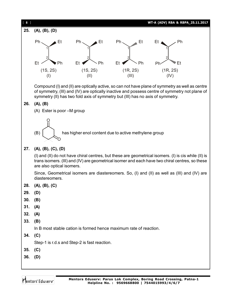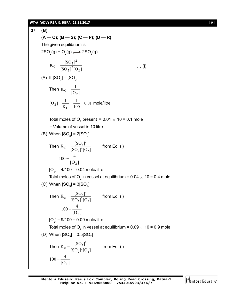#### **WT-A (ADV) RBA & RBPA\_25.11.2017** [ **9** ]

**37. (B)**  $(A - Q)$ ;  $(B - S)$ ;  $(C - P)$ ;  $(D - R)$ The given equilibrium is  $2SO_2(g) + O_2(g) \longrightarrow 2SO_3(g)$  $[SO_2]^2[O_2]$  $K_C = \frac{[SO_3]}{[SO_3]}$  $_{2}$ ]<sup>2</sup>[O<sub>2</sub>  $C = \frac{[SO_3]^2}{[SO_3]^2}$  ... (i) (A) If  $[SO_3] = [SO_2]$ Then  $[O_2]$  $K_C = \frac{1}{10}$ 2  $_{\rm C}$  = 0.01 100 1 K  $[O_2] = \frac{1}{\pi}$  $\mathcal{C}_{0}^{(n)}$  $_2$ ] =  $\frac{1}{V}$  =  $\frac{1}{100}$  = 0.01 mole/litre Total moles of  $\mathrm{O}_2$  present = 0.01  $_\times$  10 = 0.1 mole Volume of vessel is 10 litre (B) When  $[SO_3]$  = 2 $[SO_2]$ Then  $C = \frac{[SO_2]^2}{[SO_2]^2[O_2]}$  $K_C = \frac{[SO_2]^2}{[SO_2]^2}$  $[SO_2]^2[O_2]$  $=\frac{18831}{180 \times 3^{2}50 \times 1}$  from Eq. (i)  $100 = \frac{1}{\left[0_2\right]}$  $100 = \frac{4}{10}$ 2  $=$  $[O_2]$  = 4/100 = 0.04 mole/litre Total moles of  $\mathrm{O}_2$  in vessel at equilibrium = 0.04  $_\mathrm{\times}$  10 = 0.4 mole (C) When  $\text{[SO}_3]$  = 3 $\text{[SO}_2]$ Then  $C = \frac{[SO_2]^2}{[SO_2]^2[O_2]}$  $K_C = \frac{[SO_2]^2}{[SO_2]^2}$  $[SO_2]^2[O_2]$  $=\frac{16831}{160 \times 3250 \times 1}$  from Eq. (i)  $100 = \frac{100}{[O_2]}$  $100 = \frac{4}{10}$ 2  $=$  $[O_2]$  = 9/100 = 0.09 mole/litre Total moles of  $\mathrm{O}_2$  in vessel at equilibrium = 0.09  $_\mathrm{\times}$  10 = 0.9 mole (D) When  $[SO_3] = 0.5 [SO_2]$ Then  $C = \frac{[SO_2]^2}{[SO_2]^2[O_2]}$  $K_C = \frac{[SO_2]^2}{[SO_2]^2}$  $[SO_2]^2[O_2]$  $=\frac{18821}{188 \times 3^{2}58 \times 1}$  from Eq. (i)  $[O_2]$  $100 = \frac{4}{10}$ 2  $=$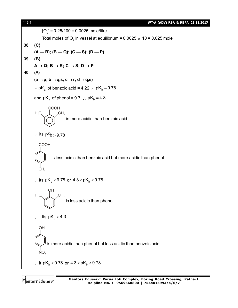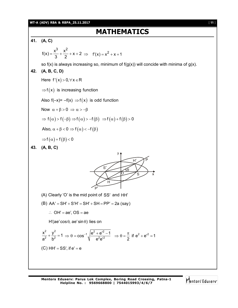#### **WT-A (ADV) RBA & RBPA\_25.11.2017** [ **11** ]

# **MATHEMATICS**

**41. (A, C)**  $f(x) = \frac{x^3}{3} + \frac{x^2}{3} + x + 2$  $=\frac{\lambda}{3} + \frac{\lambda}{2} + x + 2 \implies f'(x) = x^2 + x + 1$ so  $f(x)$  is always increasing so, minimum of  $f(g(x))$  will concide with minima of  $g(x)$ . **42. (A, B, C, D)** Here  $f'(x) > 0, \forall x \in R$  $\Rightarrow$  f(x) is increasing function Also  $f(-x) = -f(x) \implies f(x)$  is odd function Now  $\alpha + \beta > 0 \Rightarrow \alpha > -\beta$  $\Rightarrow$  f( $\alpha$ ) > f(- $\beta$ )  $\Rightarrow$  f( $\alpha$ ) > -f( $\beta$ )  $\Rightarrow$  f( $\alpha$ ) + f( $\beta$ ) > 0 Also,  $\alpha + \beta < 0 \Rightarrow f(\alpha) < -f(\beta)$  $\Rightarrow$  f  $(\alpha)$  + f  $(\beta)$  < 0 **43. (A, B, C)** S  $H'$  $\theta$ S H O P  $P'$ (A) Clearly 'O' is the mid point of SS' and HH' (B)  $AA' = SH' + S'H' = SH' + SH = PP' = 2a$  (say)  $\therefore$  OH' = ae', OS = ae  $H'(ae' \cos \theta, ae' \sin \theta)$  lies on 2  $\sqrt{2}$  $\frac{x^2}{a^2} + \frac{y^2}{b^2} = 1$  $a^2$  b<sup>2</sup>  $+\frac{y}{2}$  = 1 1  $\left|e^{2}+e^{i2}-1\right| \rightarrow e^{-\pi}$  if  $e^{2}+e^{i2}$  $\cos^{-1}\sqrt{\frac{e^2+e^{2}-1}{e^2e^{2}}}\Rightarrow \theta=\frac{\pi}{2}$  if  $e^2+e^{2}=1$  $e^2 e^2$  2  $\Rightarrow \theta = \cos^{-1} \sqrt{\frac{e^2 + e^{2} - 1}{2 a^2}} \Rightarrow \theta = \frac{\pi}{2}$  if  $e^2 + e^{2} = 2$  $\overline{\phantom{a}}$ (C) HH' =  $SS'$ , if  $e' = e$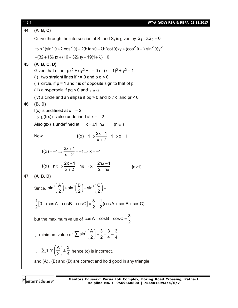| $[12]$ | WT-A (ADV) RBA & RBPA_25.11.2017                                                                                                                                                                                                      |
|--------|---------------------------------------------------------------------------------------------------------------------------------------------------------------------------------------------------------------------------------------|
| 44.    | (A, B, C)                                                                                                                                                                                                                             |
|        | Curve through the intersection of S <sub>1</sub> and S <sub>2</sub> is given by $S_1 + \lambda S_2 = 0$                                                                                                                               |
|        | $\Rightarrow$ x <sup>2</sup> (sin <sup>2</sup> $\theta$ + $\lambda$ cos <sup>2</sup> $\theta$ ) + 2(h tan $\theta$ – $\lambda$ h' cot $\theta$ )xy + (cos <sup>2</sup> $\theta$ + $\lambda$ sin <sup>2</sup> $\theta$ )y <sup>2</sup> |
|        | $+(32+16\lambda)x+(16+32\lambda)y+19(1+\lambda)=0$                                                                                                                                                                                    |
| 45.    | (A, B, C, D)<br>Given that either $px^2 + qy^2 + r = 0$ or $(x - 1)^2 + y^2 = 1$                                                                                                                                                      |
|        | (i) two straight lines if $r = 0$ and $p q < 0$                                                                                                                                                                                       |
|        | (ii) circle, if $p = 1$ and r is of opposite sign to that of p                                                                                                                                                                        |
|        | (iii) a hyperbola if $pq < 0$ and $r \neq 0$                                                                                                                                                                                          |
|        | (iv) a circle and an ellipse if $pq > 0$ and $p \neq q$ and $pr < 0$                                                                                                                                                                  |
| 46.    | (B, D)                                                                                                                                                                                                                                |
|        | $f(x)$ is undifined at $x = -2$<br>$\Rightarrow$ g(f(x)) is also undefined at x = - 2                                                                                                                                                 |
|        | Also g(x) is undefined at $x = \pm 1$ , $n\pi$<br>$(n \in I)$                                                                                                                                                                         |
|        |                                                                                                                                                                                                                                       |
|        | $f(x) = 1 \Rightarrow \frac{2x+1}{x+2} = 1 \Rightarrow x = 1$<br>Now                                                                                                                                                                  |
|        | $f(x) = -1 \Rightarrow \frac{2x+1}{x+2} = -1 \Rightarrow x = -1$                                                                                                                                                                      |
|        | $f(x) = n\pi \Rightarrow \frac{2x+1}{x+2} = n\pi \Rightarrow x = \frac{2n\pi - 1}{2 - n\pi}$<br>$\{n \in I\}$                                                                                                                         |
| 47.    | (A, B, D)                                                                                                                                                                                                                             |
|        | Since, $\sin^2\left(\frac{A}{2}\right) + \sin^2\left(\frac{B}{2}\right) + \sin^2\left(\frac{C}{2}\right) =$                                                                                                                           |
|        | $\frac{1}{2}[3 - (\cos A + \cos B + \cos C] = \frac{3}{2} - \frac{1}{2}(\cos A + \cos B + \cos C)$                                                                                                                                    |
|        | but the maximum value of $\cos A + \cos B + \cos C = \frac{3}{2}$                                                                                                                                                                     |
|        | : minimum value of $\sum \sin^2 \left(\frac{A}{2}\right) = \frac{3}{2} - \frac{3}{4} = \frac{3}{4}$                                                                                                                                   |
|        | $\therefore \sum \sin^2 \left(\frac{A}{2}\right) \ge \frac{3}{4}$ hence (c) is incorrect.                                                                                                                                             |
|        | and (A), (B) and (D) are correct and hold good in any triangle                                                                                                                                                                        |

Mentors<sup>\*</sup> Eduserv<sup>-</sup>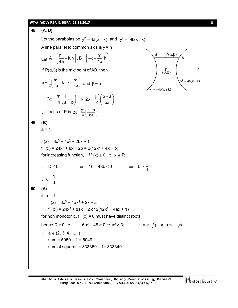# **WT-A (ADV) RBA & RBPA\_25.11.2017** [ **13** ]

48. (A, D)  
\nLet the parabolas be 
$$
y^2 = 4a(x-k)
$$
 and  $y^2 = -4b(x+k)$ .  
\nA line parallel to common axis is  $y = h$   
\nLet  $A = \left(\frac{h^2}{4a} + k, h\right), B = \left(-k - \frac{h^2}{4b}, h\right)$ .  
\nIf  $P(\alpha, \beta)$  is the mid point of AB, then  
\n $\alpha = \frac{1}{2}\left(\frac{h^2}{4a} + k - k - \frac{h^2}{4b}\right)$  and  $\beta = h$ .  
\n $\therefore 2\alpha = \frac{h^2}{4}\left(\frac{1}{a} - \frac{1}{b}\right) \Rightarrow 2\alpha = \frac{\beta^2}{4}\left(\frac{b-a}{ba}\right)$   
\n∴ Locus of P is  $2x = \frac{y^2}{4}\left(\frac{b-a}{ba}\right)$   
\n49. (B)  
\n $a = 1$   
\n $f(x) = 8x^3 + 4x^2 + 2bx + 1$   
\n $f'(x) = 24x^2 + 8x + 2b = 2(12x^2 + 4x + b)$   
\nfor increasing function,  $f'(x) \ge 0 \forall x \in R$   
\n $\therefore D \le 0 \Rightarrow 16 - 48b \le 0 \Rightarrow b \ge \frac{1}{3}$   
\n $\therefore \lambda = \frac{1}{3}$   
\n50. (A)  
\nIf  $b = 1$   
\n $f(x) = 24x^2 + 8ax + 2$  or  $2(12x^2 + 4ax + 1)$   
\nfor non monotonic,  $f'(x) = 0$  must have distinct roots  
\nhence  $D > 0$  i.e.  $16a^2 - 48 > 0 \Rightarrow a^2 > 3$ ;  $\therefore a > \sqrt{3}$  or  $a < -\sqrt{3}$   
\n $\therefore a \in \{2, 3, 4, ....\}$   
\nsum = 5005 - 1 = 5049  
\nsum of squares = 338350 - 1 = 338349

Mentors<sup>e</sup> Eduserv<sup>-</sup>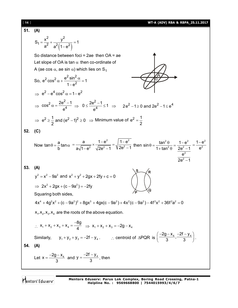11. (A)  
\n51. (A)  
\n
$$
S_1 = \frac{x^2}{a^2} + \frac{y^2}{a^2(1-e^2)} = 1
$$
\nSo distance between foci = 2ae then OA = ae  
\nLet slope of OA is tan α then co-ordinate of  
\nA (ae cos α, ae sin α) which lies on S<sub>1</sub>  
\nSo,  $e^2 cos^2 α + \frac{e^2 sin^2 α}{1-e^2} = 1$   
\n $\Rightarrow e^2 - e^4 cos^2 α - 1 - e^2$   
\n $\Rightarrow cos^2 α - \frac{2e^2 - 1}{e^4} \Rightarrow 0 \le \frac{2e^2 - 1}{e^4} \le 1 \Rightarrow 2e^2 - 1 \ge 0$  and  $2e^2 - 1 \le e^4$   
\n $\Rightarrow e^2 \ge \frac{1}{2}$  and  $(e^2 - 1)^2 \ge 0 \Rightarrow$  Minimum value of  $e^2 = \frac{1}{2}$   
\n52. (C)  
\nNow tan θ =  $\frac{a}{b} \tan α = \frac{a}{a\sqrt{1-e^2}} \times \frac{1-e^2}{\sqrt{2e^2 - 1}} = \sqrt{\frac{1-e^2}{2e^2 - 1}}$  then sin θ =  $\frac{\tan^2 θ}{1 + \tan^2 θ} = \frac{1-e^2}{2e^2 - 1} = \frac{1-e^2}{e^2}$   
\n53. (A)  
\n $y^2 = x^2 - 9a^2$  and  $x^2 + y^2 + 2gx + 2fy + c = 0$   
\n $\Rightarrow 2x^2 + 2gx + (c - 9a^2) = -2fy$   
\nSquaring both sides,  
\n $4x^4 + 4g^2x^2 + (c - 9a^2)^2 + 8gx^3 + 4gx(c - 9a^2) + 4x^2(c - 9a^2) - 4f^2x^2 + 36f^2a^2 = 0$   
\n $\times$ ,  $x_2$ ,  $x_3$ ,  $x_4$  are the roots of the above equation.  
\n $\therefore x_1 + x_2 + x_3 + x_4 = \frac{-8g}{4} \Rightarrow x_1 + x_2 + x_3 = -2g - x_4$   
\nSimilarly,  $y_1 +$ 

Mentors<sup>®</sup> Eduserv<sup>®</sup>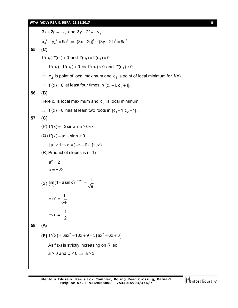$3x + 2g = -x_4$  and  $3y + 2f = -y_4$  $x_4^2 - y_4^2 = 9a^2 \Rightarrow (3x + 2g)^2 - (3y + 2f)^2 = 9a^2$ **55. (C)**  $f''(c_2)f''(c_1) < 0$  and  $f'(c_1) = f'(c_2) = 0$  $f''(c_1) - f''(c_2) > 0 \Rightarrow f''(c_1) > 0$  and  $f''(c_2) < 0$  $\Rightarrow$   $\,$   $\,$  c $_{2}$  is point of local maximum and  $\,$  c $_{1}$  is point of local minimum for f(x)  $\Rightarrow$  f'(x) = 0 at least four times in [c<sub>1</sub> - 1, c<sub>2</sub> + 1]. **56. (B)** Here  $\mathsf{c}_\mathtt{1}$  is local maximum and  $\mathsf{c}_\mathtt{2}$  is local minimum  $\Rightarrow$  f'(x) = 0 has at least two roots in  $[c_1 - 1, c_2 + 1]$ . **57. (C)** (P)  $f'(x) = -2\sin x + a \ge 0 \forall x$ (Q)  $f'(x) = a^2 - \sin x \ge 0$  $|a| \geq 1 \Rightarrow a \in (-\infty, -1] \cup [1, \infty)$  $(R)$  Product of slopes is  $(-1)$  $a^2 = 2$  $a = \pm \sqrt{2}$ (S)  $\lim_{x\to 0} (1 + a \sin x)^{\cos e c x}$  $x\rightarrow 0$  $\lim (1 + a \sin x)^{\csc x} = \frac{1}{\sqrt{2}}$  $\rightarrow$ <sup>0</sup>  $\sqrt{e}$  $+$  a sin x  $\right)^{\cos \alpha \alpha} =$  $e^a = \frac{1}{2}$ e  $= e^{a} =$  $a = -\frac{1}{2}$ 2  $\Rightarrow$  a = --**58. (A) (P)**  $f'(x) = 3ax^2 - 18x + 9 = 3(ax^2 - 6x + 3)$ As f (x) is strictly increasing on R, so  $a > 0$  and  $D \le 0 \Rightarrow a \ge 3$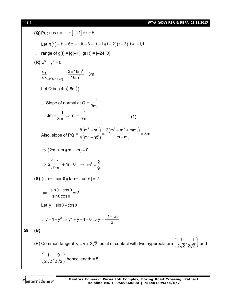[ **16** ] **WT-A (ADV) RBA & RBPA\_25.11.2017**

(Q) Put cos x = t, t ∈ [-1,1] ∀x ∈ R  
\nLet g(t) = t<sup>3</sup> - 6t<sup>2</sup> + 1tt - 6 = (t - 1)(t - 2)(t - 3), t ∈ [-1,1]  
\n∴ range of g(t) = [g(-1), g(1)] = [-24, 0]  
\n(R) x<sup>3</sup> - y<sup>2</sup> = 0  
\n
$$
\frac{dy}{dx}\Big|_{x=[4m^2, 8m^2]} = \frac{3 \times 16m^4}{16m^3} = 3m
$$
\nLet Q be  $(4m_1^2, 8m_1^2)$   
\n∴ Slope of normal at Q =  $\frac{-1}{3m_1}$   
\n∴  $3m = \frac{-1}{3m_1} \Rightarrow m_1 = \frac{-1}{9m}$  .... (1)  
\nAlso, slope of PQ =  $\frac{8(m^3 - m_1^3)}{4(m^2 - m_1^2)} = \frac{2(m^2 + m_1^2 + mm_1)}{m + m_1} = 3m$   
\n⇒  $(2m_1 + m)(m_1 - m) = 0$   
\n⇒  $2(\frac{-1}{9m}) + m = 0 \Rightarrow m^2 = \frac{2}{9}$   
\n(S)  $(\sin \theta - \cos \theta)(\tan \theta + \cot \theta) = 2$   
\n⇒  $\frac{\sin \theta - \cos \theta}{\sin \theta \cos \theta} = 2$   
\nLet y =  $\sin \theta - \cos \theta$   
\n∴ y = 1 - y<sup>2</sup> ⇒ y<sup>2</sup> + y - 1 = 0 ⇒ y =  $\frac{-1 \pm \sqrt{5}}{2}$   
\n59. (B)  
\n(P) Common tangent y = x + 2 $\sqrt{2}$  point of contact with two hyperbola are  $(\frac{-9}{2\sqrt{2}}, \frac{-1}{2\sqrt{2}})$  and  $(\frac{1}{2\sqrt{2}}, \frac{9}{2\sqrt{2}})$  hence length = 5

Mentors<sup>e</sup> Eduserv<sup>-</sup>